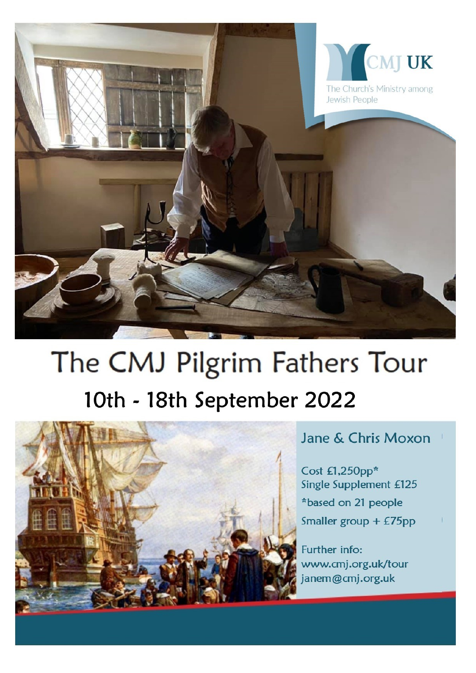

# The CMJ Pilgrim Fathers Tour 10th - 18th September 2022



# Jane & Chris Moxon

Cost £1,250pp\* Single Supplement £125 \*based on 21 people Smaller group + £75pp

Further info: www.cmj.org.uk/tour janem@cmj.org.uk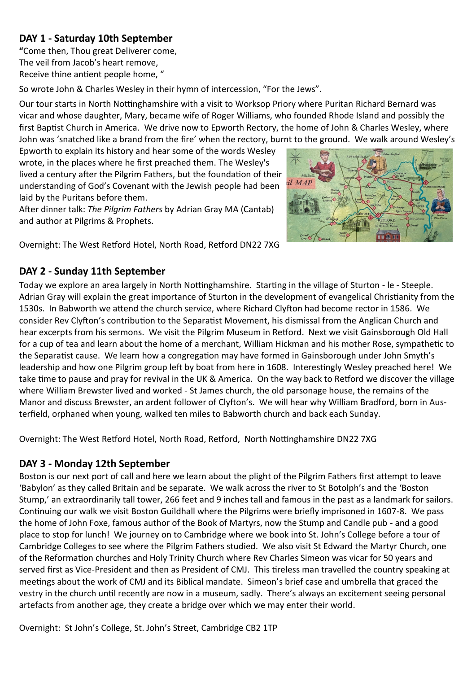# **DAY 1 - Saturday 10th September**

**"**Come then, Thou great Deliverer come, The veil from Jacob's heart remove, Receive thine antient people home, "

So wrote John & Charles Wesley in their hymn of intercession, "For the Jews".

Our tour starts in North Nottinghamshire with a visit to Worksop Priory where Puritan Richard Bernard was vicar and whose daughter, Mary, became wife of Roger Williams, who founded Rhode Island and possibly the first Baptist Church in America. We drive now to Epworth Rectory, the home of John & Charles Wesley, where John was 'snatched like a brand from the fire' when the rectory, burnt to the ground. We walk around Wesley's

Epworth to explain its history and hear some of the words Wesley wrote, in the places where he first preached them. The Wesley's lived a century after the Pilgrim Fathers, but the foundation of their understanding of God's Covenant with the Jewish people had been laid by the Puritans before them.

After dinner talk: *The Pilgrim Fathers* by Adrian Gray MA (Cantab) and author at Pilgrims & Prophets.



Overnight: The West Retford Hotel, North Road, Retford DN22 7XG

#### **DAY 2 - Sunday 11th September**

Today we explore an area largely in North Nottinghamshire. Starting in the village of Sturton - le - Steeple. Adrian Gray will explain the great importance of Sturton in the development of evangelical Christianity from the 1530s. In Babworth we attend the church service, where Richard Clyfton had become rector in 1586. We consider Rev Clyfton's contribution to the Separatist Movement, his dismissal from the Anglican Church and hear excerpts from his sermons. We visit the Pilgrim Museum in Retford. Next we visit Gainsborough Old Hall for a cup of tea and learn about the home of a merchant, William Hickman and his mother Rose, sympathetic to the Separatist cause. We learn how a congregation may have formed in Gainsborough under John Smyth's leadership and how one Pilgrim group left by boat from here in 1608. Interestingly Wesley preached here! We take time to pause and pray for revival in the UK & America. On the way back to Retford we discover the village where William Brewster lived and worked - St James church, the old parsonage house, the remains of the Manor and discuss Brewster, an ardent follower of Clyfton's. We will hear why William Bradford, born in Austerfield, orphaned when young, walked ten miles to Babworth church and back each Sunday.

Overnight: The West Retford Hotel, North Road, Retford, North Nottinghamshire DN22 7XG

## **DAY 3 - Monday 12th September**

Boston is our next port of call and here we learn about the plight of the Pilgrim Fathers first attempt to leave 'Babylon' as they called Britain and be separate. We walk across the river to St Botolph's and the 'Boston Stump,' an extraordinarily tall tower, 266 feet and 9 inches tall and famous in the past as a landmark for sailors. Continuing our walk we visit Boston Guildhall where the Pilgrims were briefly imprisoned in 1607-8. We pass the home of John Foxe, famous author of the Book of Martyrs, now the Stump and Candle pub - and a good place to stop for lunch! We journey on to Cambridge where we book into St. John's College before a tour of Cambridge Colleges to see where the Pilgrim Fathers studied. We also visit St Edward the Martyr Church, one of the Reformation churches and Holy Trinity Church where Rev Charles Simeon was vicar for 50 years and served first as Vice-President and then as President of CMJ. This tireless man travelled the country speaking at meetings about the work of CMJ and its Biblical mandate. Simeon's brief case and umbrella that graced the vestry in the church until recently are now in a museum, sadly. There's always an excitement seeing personal artefacts from another age, they create a bridge over which we may enter their world.

Overnight: St John's College, St. John's Street, Cambridge CB2 1TP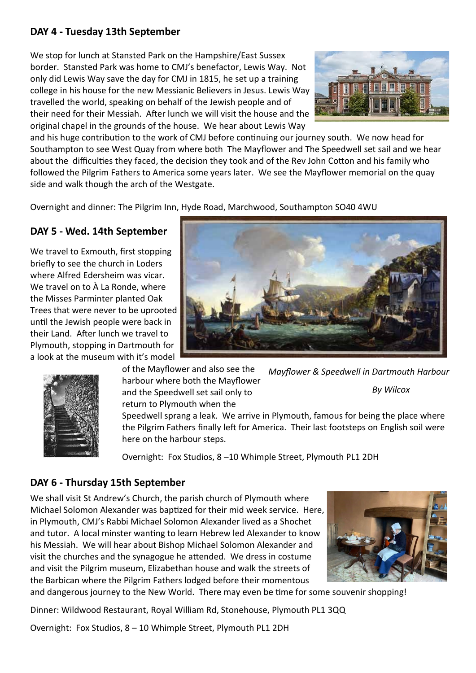## **DAY 4 - Tuesday 13th September**

We stop for lunch at Stansted Park on the Hampshire/East Sussex border. Stansted Park was home to CMJ's benefactor, Lewis Way. Not only did Lewis Way save the day for CMJ in 1815, he set up a training college in his house for the new Messianic Believers in Jesus. Lewis Way travelled the world, speaking on behalf of the Jewish people and of their need for their Messiah. After lunch we will visit the house and the original chapel in the grounds of the house. We hear about Lewis Way



and his huge contribution to the work of CMJ before continuing our journey south. We now head for Southampton to see West Quay from where both The Mayflower and The Speedwell set sail and we hear about the difficulties they faced, the decision they took and of the Rev John Cotton and his family who followed the Pilgrim Fathers to America some years later. We see the Mayflower memorial on the quay side and walk though the arch of the Westgate.

Overnight and dinner: The Pilgrim Inn, Hyde Road, Marchwood, Southampton SO40 4WU

# **DAY 5 - Wed. 14th September**

We travel to Exmouth, first stopping briefly to see the church in Loders where Alfred Edersheim was vicar. We travel on to À La Ronde, where the Misses Parminter planted Oak Trees that were never to be uprooted until the Jewish people were back in their Land. After lunch we travel to Plymouth, stopping in Dartmouth for a look at the museum with it's model





of the Mayflower and also see the harbour where both the Mayflower and the Speedwell set sail only to *Mayflower & Speedwell in Dartmouth Harbour By Wilcox*

return to Plymouth when the

Speedwell sprang a leak. We arrive in Plymouth, famous for being the place where the Pilgrim Fathers finally left for America. Their last footsteps on English soil were here on the harbour steps.

Overnight: Fox Studios, 8 –10 Whimple Street, Plymouth PL1 2DH

## **DAY 6 - Thursday 15th September**

We shall visit St Andrew's Church, the parish church of Plymouth where Michael Solomon Alexander was baptized for their mid week service. Here, in Plymouth, CMJ's Rabbi Michael Solomon Alexander lived as a Shochet and tutor. A local minster wanting to learn Hebrew led Alexander to know his Messiah. We will hear about Bishop Michael Solomon Alexander and visit the churches and the synagogue he attended. We dress in costume and visit the Pilgrim museum, Elizabethan house and walk the streets of the Barbican where the Pilgrim Fathers lodged before their momentous



Dinner: Wildwood Restaurant, Royal William Rd, Stonehouse, Plymouth PL1 3QQ

Overnight: Fox Studios, 8 – 10 Whimple Street, Plymouth PL1 2DH